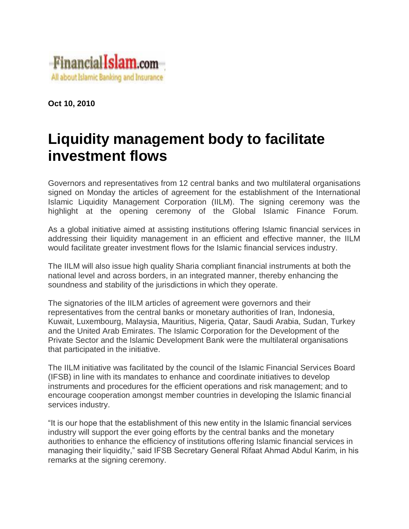

**Oct 10, 2010**

## **Liquidity management body to facilitate investment flows**

Governors and representatives from 12 central banks and two multilateral organisations signed on Monday the articles of agreement for the establishment of the International Islamic Liquidity Management Corporation (IILM). The signing ceremony was the highlight at the opening ceremony of the Global Islamic Finance Forum.

As a global initiative aimed at assisting institutions offering Islamic financial services in addressing their liquidity management in an efficient and effective manner, the IILM would facilitate greater investment flows for the Islamic financial services industry.

The IILM will also issue high quality Sharia compliant financial instruments at both the national level and across borders, in an integrated manner, thereby enhancing the soundness and stability of the jurisdictions in which they operate.

The signatories of the IILM articles of agreement were governors and their representatives from the central banks or monetary authorities of Iran, Indonesia, Kuwait, Luxembourg, Malaysia, Mauritius, Nigeria, Qatar, Saudi Arabia, Sudan, Turkey and the United Arab Emirates. The Islamic Corporation for the Development of the Private Sector and the Islamic Development Bank were the multilateral organisations that participated in the initiative.

The IILM initiative was facilitated by the council of the Islamic Financial Services Board (IFSB) in line with its mandates to enhance and coordinate initiatives to develop instruments and procedures for the efficient operations and risk management; and to encourage cooperation amongst member countries in developing the Islamic financial services industry.

"It is our hope that the establishment of this new entity in the Islamic financial services industry will support the ever going efforts by the central banks and the monetary authorities to enhance the efficiency of institutions offering Islamic financial services in managing their liquidity," said IFSB Secretary General Rifaat Ahmad Abdul Karim, in his remarks at the signing ceremony.